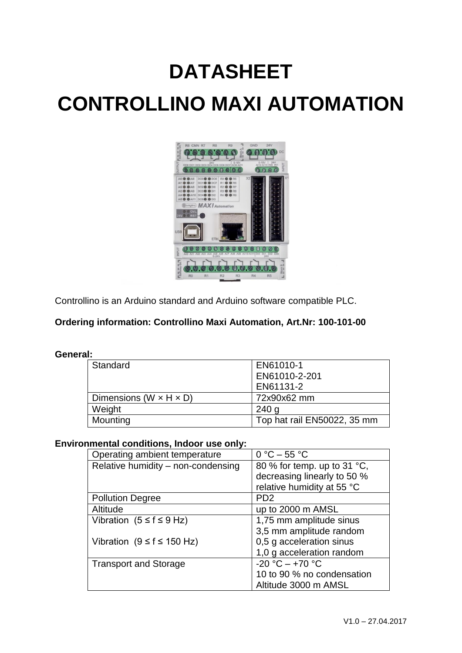# **DATASHEET CONTROLLINO MAXI AUTOMATION**



Controllino is an Arduino standard and Arduino software compatible PLC.

### **Ordering information: Controllino Maxi Automation, Art.Nr: 100-101-00**

#### **General:**

| Standard                             | EN61010-1                   |
|--------------------------------------|-----------------------------|
|                                      | EN61010-2-201               |
|                                      | EN61131-2                   |
| Dimensions (W $\times$ H $\times$ D) | 72x90x62 mm                 |
| Weight                               | 240 <sub>q</sub>            |
| Mounting                             | Top hat rail EN50022, 35 mm |

#### **Environmental conditions, Indoor use only:**

| Operating ambient temperature      | $0 °C - 55 °C$              |  |
|------------------------------------|-----------------------------|--|
| Relative humidity - non-condensing | 80 % for temp. up to 31 °C, |  |
|                                    | decreasing linearly to 50 % |  |
|                                    | relative humidity at 55 °C  |  |
| <b>Pollution Degree</b>            | PD <sub>2</sub>             |  |
| Altitude                           | up to 2000 m AMSL           |  |
| Vibration $(5 \le f \le 9$ Hz)     | 1,75 mm amplitude sinus     |  |
|                                    | 3,5 mm amplitude random     |  |
| Vibration $(9 \le f \le 150$ Hz)   | 0,5 g acceleration sinus    |  |
|                                    | 1,0 g acceleration random   |  |
| <b>Transport and Storage</b>       | $-20 °C - +70 °C$           |  |
|                                    | 10 to 90 % no condensation  |  |
|                                    | Altitude 3000 m AMSL        |  |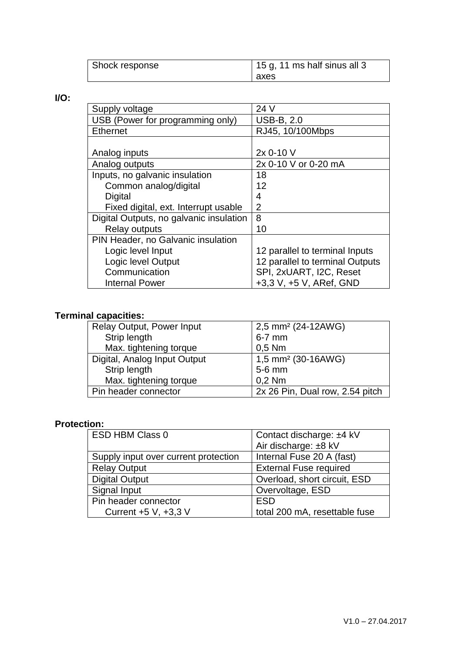| Shock response | 15 g, 11 ms half sinus all 3 |
|----------------|------------------------------|
|                | l axes                       |

**I/O:** 

| Supply voltage                          | 24 V                            |
|-----------------------------------------|---------------------------------|
| USB (Power for programming only)        | <b>USB-B, 2.0</b>               |
| <b>Ethernet</b>                         | RJ45, 10/100Mbps                |
|                                         |                                 |
| Analog inputs                           | 2x 0-10 V                       |
| Analog outputs                          | 2x 0-10 V or 0-20 mA            |
| Inputs, no galvanic insulation          | 18                              |
| Common analog/digital                   | 12                              |
| Digital                                 | 4                               |
| Fixed digital, ext. Interrupt usable    | $\overline{2}$                  |
| Digital Outputs, no galvanic insulation | 8                               |
| <b>Relay outputs</b>                    | 10                              |
| PIN Header, no Galvanic insulation      |                                 |
| Logic level Input                       | 12 parallel to terminal Inputs  |
| Logic level Output                      | 12 parallel to terminal Outputs |
| Communication                           | SPI, 2xUART, I2C, Reset         |
| <b>Internal Power</b>                   | +3,3 V, +5 V, ARef, GND         |

#### **Terminal capacities:**

| <b>Relay Output, Power Input</b> | 2,5 mm <sup>2</sup> (24-12AWG)  |
|----------------------------------|---------------------------------|
| Strip length                     | $6-7$ mm                        |
| Max. tightening torque           | $0,5$ Nm                        |
| Digital, Analog Input Output     | 1,5 mm <sup>2</sup> (30-16AWG)  |
| Strip length                     | 5-6 mm                          |
| Max. tightening torque           | $0,2$ Nm                        |
| Pin header connector             | 2x 26 Pin, Dual row, 2.54 pitch |

## **Protection:**

| <b>ESD HBM Class 0</b>               | Contact discharge: ±4 kV      |  |
|--------------------------------------|-------------------------------|--|
|                                      | Air discharge: ±8 kV          |  |
| Supply input over current protection | Internal Fuse 20 A (fast)     |  |
| <b>Relay Output</b>                  | <b>External Fuse required</b> |  |
| <b>Digital Output</b>                | Overload, short circuit, ESD  |  |
| Signal Input                         | Overvoltage, ESD              |  |
| Pin header connector                 | <b>ESD</b>                    |  |
| Current +5 V, +3,3 V                 | total 200 mA, resettable fuse |  |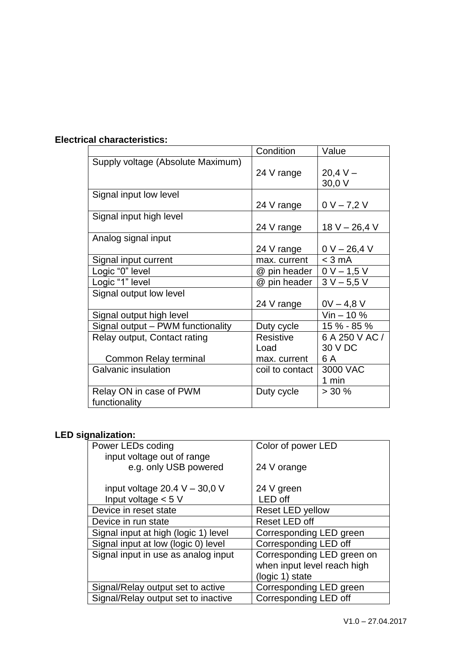|                                                       | Condition                         | Value                            |
|-------------------------------------------------------|-----------------------------------|----------------------------------|
| Supply voltage (Absolute Maximum)                     | 24 V range                        | $20.4 V -$<br>30,0 V             |
| Signal input low level                                | 24 V range                        | $0 V - 7,2 V$                    |
| Signal input high level                               | 24 V range                        | 18 V $-$ 26,4 V                  |
| Analog signal input                                   | 24 V range                        | $0 V - 26,4 V$                   |
| Signal input current                                  | max. current                      | $<$ 3 mA                         |
| Logic "0" level                                       | @ pin header                      | $0 V - 1,5 V$                    |
| Logic "1" level                                       | @ pin header                      | $3 V - 5,5 V$                    |
| Signal output low level                               | 24 V range                        | $0V - 4.8 V$                     |
| Signal output high level                              |                                   | $V$ in $-10\%$                   |
| Signal output - PWM functionality                     | Duty cycle                        | 15 % - 85 %                      |
| Relay output, Contact rating<br>Common Relay terminal | Resistive<br>Load<br>max. current | 6 A 250 V AC /<br>30 V DC<br>6 A |
| Galvanic insulation                                   | coil to contact                   | 3000 VAC<br>1 min                |
| Relay ON in case of PWM<br>functionality              | Duty cycle                        | $> 30 \%$                        |

## **Electrical characteristics:**

# **LED signalization:**

| Power LEDs coding                    | Color of power LED          |
|--------------------------------------|-----------------------------|
| input voltage out of range           |                             |
| e.g. only USB powered                | 24 V orange                 |
|                                      |                             |
| input voltage $20.4 V - 30.0 V$      | 24 V green                  |
| Input voltage $< 5 V$                | LED off                     |
| Device in reset state                | Reset LED yellow            |
| Device in run state                  | Reset LED off               |
| Signal input at high (logic 1) level | Corresponding LED green     |
| Signal input at low (logic 0) level  | Corresponding LED off       |
| Signal input in use as analog input  | Corresponding LED green on  |
|                                      | when input level reach high |
|                                      | (logic 1) state             |
| Signal/Relay output set to active    | Corresponding LED green     |
| Signal/Relay output set to inactive  | Corresponding LED off       |